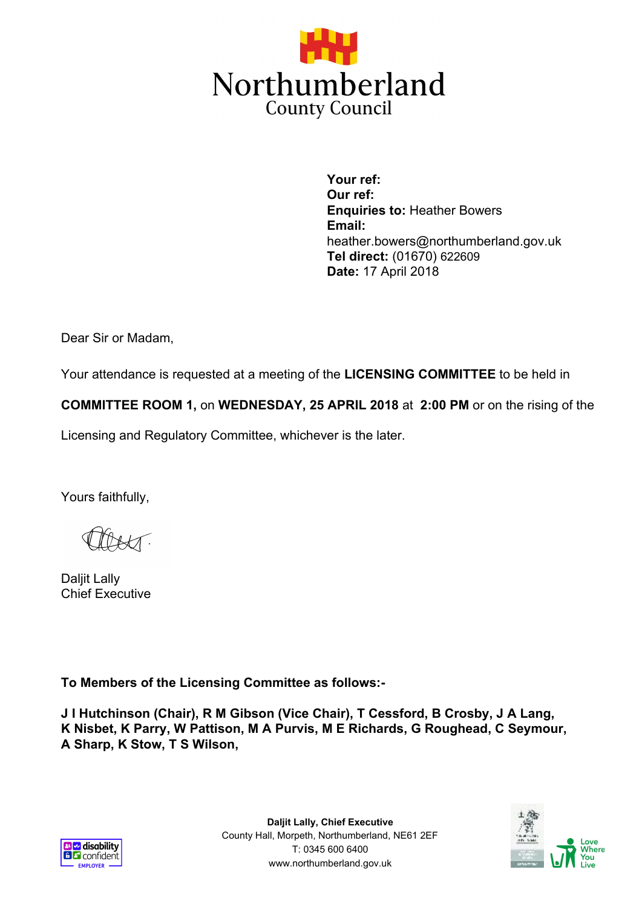

**Your ref: Our ref: Enquiries to:** Heather Bowers **Email:** heather.bowers@northumberland.gov.uk **Tel direct:** (01670) 622609 **Date:** 17 April 2018

Dear Sir or Madam,

Your attendance is requested at a meeting of the **LICENSING COMMITTEE** to be held in

**COMMITTEE ROOM 1,** on **WEDNESDAY, 25 APRIL 2018** at **2:00 PM** or on the rising of the

Licensing and Regulatory Committee, whichever is the later.

Yours faithfully,

Daljit Lally Chief Executive

**To Members of the Licensing Committee as follows:-**

**J I Hutchinson (Chair), R M Gibson (Vice Chair), T Cessford, B Crosby, J A Lang, K Nisbet, K Parry, W Pattison, M A Purvis, M E Richards, G Roughead, C Seymour, A Sharp, K Stow, T S Wilson,**



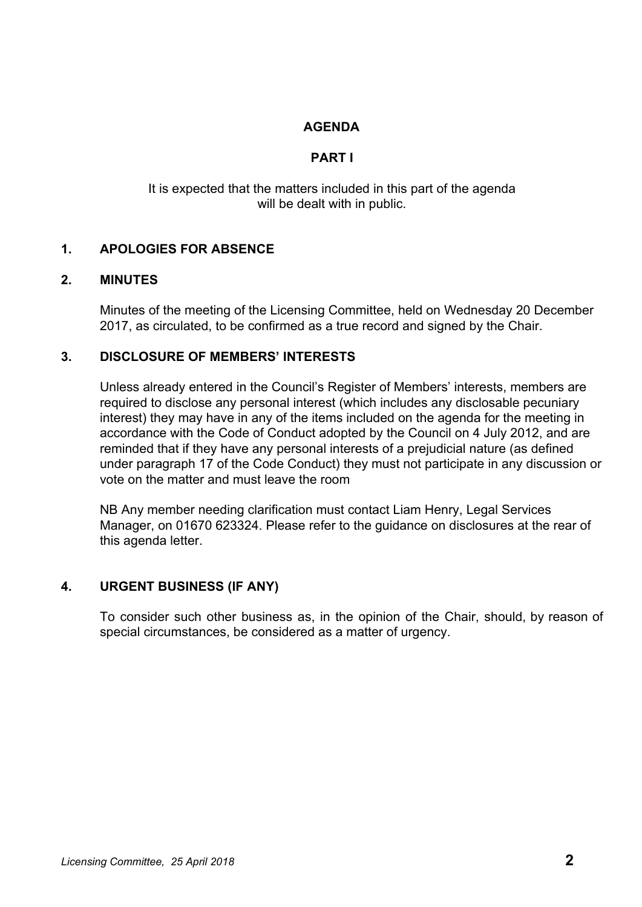## **AGENDA**

## **PART I**

It is expected that the matters included in this part of the agenda will be dealt with in public.

## **1. APOLOGIES FOR ABSENCE**

#### **2. MINUTES**

Minutes of the meeting of the Licensing Committee, held on Wednesday 20 December 2017, as circulated, to be confirmed as a true record and signed by the Chair.

### **3. DISCLOSURE OF MEMBERS' INTERESTS**

Unless already entered in the Council's Register of Members' interests, members are required to disclose any personal interest (which includes any disclosable pecuniary interest) they may have in any of the items included on the agenda for the meeting in accordance with the Code of Conduct adopted by the Council on 4 July 2012, and are reminded that if they have any personal interests of a prejudicial nature (as defined under paragraph 17 of the Code Conduct) they must not participate in any discussion or vote on the matter and must leave the room

NB Any member needing clarification must contact Liam Henry, Legal Services Manager, on 01670 623324. Please refer to the guidance on disclosures at the rear of this agenda letter.

#### **4. URGENT BUSINESS (IF ANY)**

To consider such other business as, in the opinion of the Chair, should, by reason of special circumstances, be considered as a matter of urgency.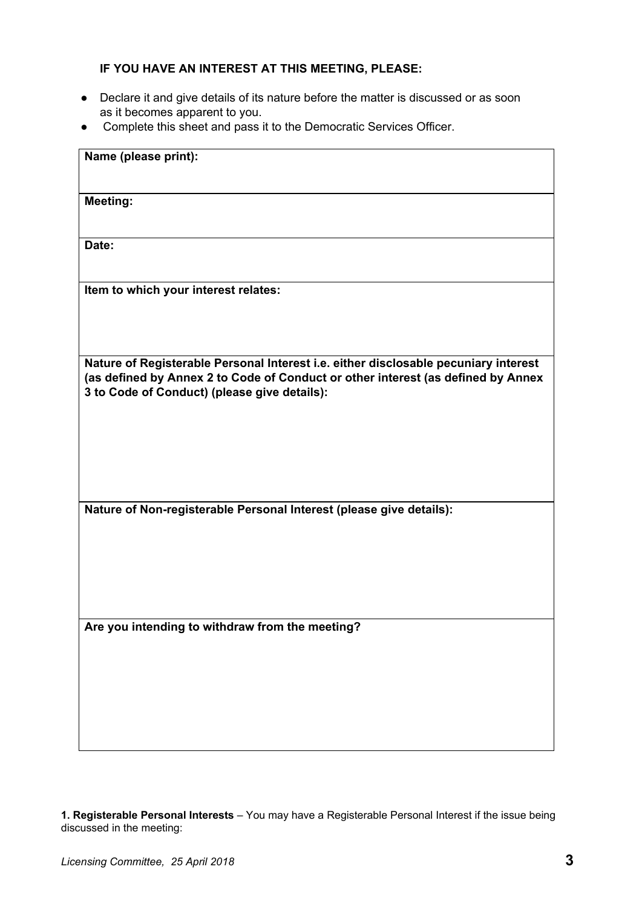# **IF YOU HAVE AN INTEREST AT THIS MEETING, PLEASE:**

- Declare it and give details of its nature before the matter is discussed or as soon as it becomes apparent to you.
- Complete this sheet and pass it to the Democratic Services Officer.

| Name (please print):                                                                                                                                                                                                    |
|-------------------------------------------------------------------------------------------------------------------------------------------------------------------------------------------------------------------------|
| <b>Meeting:</b>                                                                                                                                                                                                         |
| Date:                                                                                                                                                                                                                   |
| Item to which your interest relates:                                                                                                                                                                                    |
| Nature of Registerable Personal Interest i.e. either disclosable pecuniary interest<br>(as defined by Annex 2 to Code of Conduct or other interest (as defined by Annex<br>3 to Code of Conduct) (please give details): |
| Nature of Non-registerable Personal Interest (please give details):                                                                                                                                                     |
| Are you intending to withdraw from the meeting?                                                                                                                                                                         |

**1. Registerable Personal Interests** – You may have a Registerable Personal Interest if the issue being discussed in the meeting: